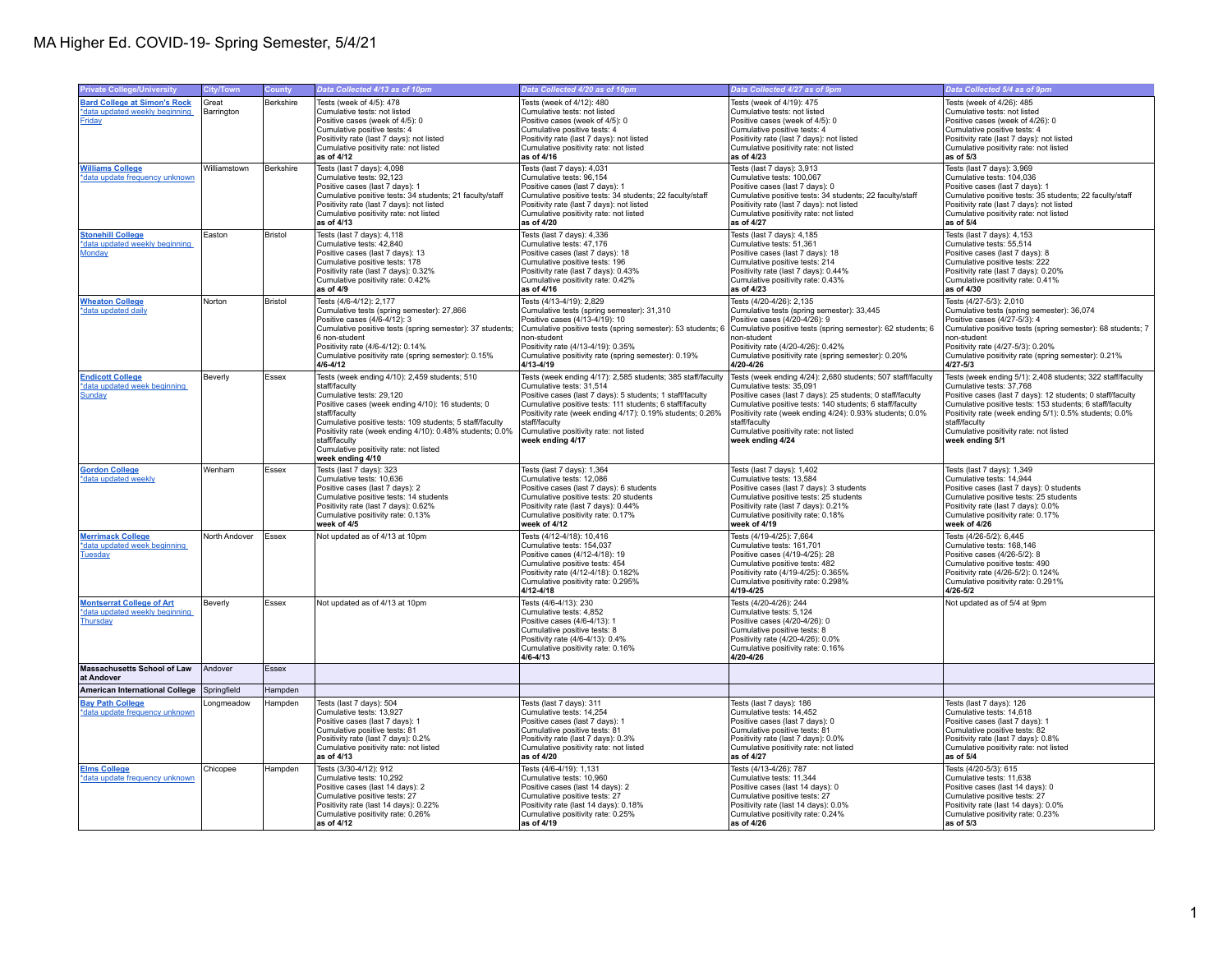| <b>Private College/University</b>         | City/Town     | County         | Data Collected 4/13 as of 10pm                                                                        | Data Collected 4/20 as of 10pm                                                                                        | Data Collected 4/27 as of 9pm                                                                                          | Data Collected 5/4 as of 9pm                                                                                       |
|-------------------------------------------|---------------|----------------|-------------------------------------------------------------------------------------------------------|-----------------------------------------------------------------------------------------------------------------------|------------------------------------------------------------------------------------------------------------------------|--------------------------------------------------------------------------------------------------------------------|
|                                           |               |                |                                                                                                       |                                                                                                                       |                                                                                                                        |                                                                                                                    |
| <b>Bard College at Simon's Rock</b>       | Great         | Berkshire      | Tests (week of 4/5): 478                                                                              | Tests (week of 4/12): 480                                                                                             | Tests (week of 4/19): 475                                                                                              | Tests (week of 4/26): 485                                                                                          |
| data updated weekly beginning<br>Friday   | Barrington    |                | Cumulative tests: not listed<br>Positive cases (week of 4/5): 0                                       | Cumulative tests: not listed<br>Positive cases (week of 4/5): 0                                                       | Cumulative tests: not listed<br>Positive cases (week of 4/5): 0                                                        | Cumulative tests: not listed<br>Positive cases (week of 4/26): 0                                                   |
|                                           |               |                | Cumulative positive tests: 4                                                                          | Cumulative positive tests: 4                                                                                          | Cumulative positive tests: 4                                                                                           | Cumulative positive tests: 4                                                                                       |
|                                           |               |                | Positivity rate (last 7 days): not listed                                                             | Positivity rate (last 7 days): not listed                                                                             | Positivity rate (last 7 days): not listed                                                                              | Positivity rate (last 7 days): not listed                                                                          |
|                                           |               |                | Cumulative positivity rate: not listed                                                                | Cumulative positivity rate: not listed                                                                                | Cumulative positivity rate: not listed                                                                                 | Cumulative positivity rate: not listed                                                                             |
|                                           |               |                | as of 4/12                                                                                            | as of 4/16                                                                                                            | as of 4/23                                                                                                             | as of $5/3$                                                                                                        |
| <b>Williams College</b>                   | Williamstown  | Berkshire      | Tests (last 7 days): 4,098                                                                            | Tests (last 7 days): 4,031                                                                                            | Tests (last 7 days): 3,913                                                                                             | Tests (last 7 days): 3,969                                                                                         |
| *data update frequency unknown            |               |                | Cumulative tests: 92,123                                                                              | Cumulative tests: 96,154                                                                                              | Cumulative tests: 100,067                                                                                              | Cumulative tests: 104,036                                                                                          |
|                                           |               |                | Positive cases (last 7 days): 1                                                                       | Positive cases (last 7 days): 1                                                                                       | Positive cases (last 7 days): 0                                                                                        | Positive cases (last 7 days): 1                                                                                    |
|                                           |               |                | Cumulative positive tests: 34 students; 21 faculty/staff<br>Positivity rate (last 7 days): not listed | Cumulative positive tests: 34 students; 22 faculty/staff<br>Positivity rate (last 7 days): not listed                 | Cumulative positive tests: 34 students; 22 faculty/staff<br>Positivity rate (last 7 days): not listed                  | Cumulative positive tests: 35 students; 22 faculty/staff<br>Positivity rate (last 7 days): not listed              |
|                                           |               |                | Cumulative positivity rate: not listed                                                                | Cumulative positivity rate: not listed                                                                                | Cumulative positivity rate: not listed                                                                                 | Cumulative positivity rate: not listed                                                                             |
|                                           |               |                | as of 4/13                                                                                            | as of 4/20                                                                                                            | as of 4/27                                                                                                             | as of 5/4                                                                                                          |
| <b>Stonehill College</b>                  | Easton        | <b>Bristol</b> | Tests (last 7 days): 4,118                                                                            | Tests (last 7 days): 4,336                                                                                            | Tests (last 7 days): 4,185                                                                                             | Tests (last 7 days): 4,153                                                                                         |
| data updated weekly beginning             |               |                | Cumulative tests: 42,840                                                                              | Cumulative tests: 47.176                                                                                              | Cumulative tests: 51.361                                                                                               | Cumulative tests: 55.514                                                                                           |
| Monday                                    |               |                | Positive cases (last 7 days): 13                                                                      | Positive cases (last 7 days): 18                                                                                      | Positive cases (last 7 days): 18                                                                                       | Positive cases (last 7 days): 8                                                                                    |
|                                           |               |                | Cumulative positive tests: 178                                                                        | Cumulative positive tests: 196                                                                                        | Cumulative positive tests: 214                                                                                         | Cumulative positive tests: 222                                                                                     |
|                                           |               |                | Positivity rate (last 7 days): 0.32%                                                                  | Positivity rate (last 7 days): 0.43%                                                                                  | Positivity rate (last 7 days): 0.44%                                                                                   | Positivity rate (last 7 days): 0.20%                                                                               |
|                                           |               |                | Cumulative positivity rate: 0.42%                                                                     | Cumulative positivity rate: 0.42%                                                                                     | Cumulative positivity rate: 0.43%                                                                                      | Cumulative positivity rate: 0.41%                                                                                  |
|                                           |               |                | as of 4/9                                                                                             | as of 4/16                                                                                                            | as of 4/23                                                                                                             | as of 4/30                                                                                                         |
| <b>Wheaton College</b>                    | Norton        | <b>Bristol</b> | Tests (4/6-4/12): 2.177                                                                               | Tests (4/13-4/19): 2,829                                                                                              | Tests (4/20-4/26): 2,135                                                                                               | Tests (4/27-5/3): 2,010                                                                                            |
| data updated daily                        |               |                | Cumulative tests (spring semester): 27,866<br>Positive cases (4/6-4/12): 3                            | Cumulative tests (spring semester): 31,310<br>Positive cases (4/13-4/19): 10                                          | Cumulative tests (spring semester): 33,445<br>Positive cases (4/20-4/26): 9                                            | Cumulative tests (spring semester): 36,074<br>Positive cases (4/27-5/3): 4                                         |
|                                           |               |                | Cumulative positive tests (spring semester): 37 students;                                             | Cumulative positive tests (spring semester): 53 students; 6                                                           | Cumulative positive tests (spring semester): 62 students; 6                                                            | Cumulative positive tests (spring semester): 68 students; 7                                                        |
|                                           |               |                | 6 non-student                                                                                         | non-student                                                                                                           | non-student                                                                                                            | non-student                                                                                                        |
|                                           |               |                | Positivity rate (4/6-4/12): 0.14%                                                                     | Positivity rate (4/13-4/19): 0.35%                                                                                    | Positivity rate (4/20-4/26): 0.42%                                                                                     | Positivity rate (4/27-5/3): 0.20%                                                                                  |
|                                           |               |                | Cumulative positivity rate (spring semester): 0.15%                                                   | Cumulative positivity rate (spring semester): 0.19%                                                                   | Cumulative positivity rate (spring semester): 0.20%                                                                    | Cumulative positivity rate (spring semester): 0.21%                                                                |
|                                           |               |                | $4/6 - 4/12$                                                                                          | $4/13 - 4/19$                                                                                                         | 4/20-4/26                                                                                                              | $4/27 - 5/3$                                                                                                       |
| <b>Endicott College</b>                   | Beverly       | Essex          | Tests (week ending 4/10): 2,459 students; 510                                                         | Tests (week ending 4/17): 2,585 students; 385 staff/faculty                                                           | Tests (week ending 4/24): 2,680 students; 507 staff/faculty                                                            | Tests (week ending 5/1): 2,408 students; 322 staff/faculty                                                         |
| *data updated week beginning              |               |                | staff/faculty                                                                                         | Cumulative tests: 31,514                                                                                              | Cumulative tests: 35,091                                                                                               | Cumulative tests: 37,768                                                                                           |
| <b>Sunday</b>                             |               |                | Cumulative tests: 29,120                                                                              | Positive cases (last 7 days): 5 students; 1 staff/faculty                                                             | Positive cases (last 7 days): 25 students; 0 staff/faculty<br>Cumulative positive tests: 140 students: 6 staff/faculty | Positive cases (last 7 days): 12 students; 0 staff/faculty                                                         |
|                                           |               |                | Positive cases (week ending 4/10): 16 students; 0<br>staff/faculty                                    | Cumulative positive tests: 111 students; 6 staff/faculty<br>Positivity rate (week ending 4/17): 0.19% students; 0.26% | Positivity rate (week ending 4/24): 0.93% students; 0.0%                                                               | Cumulative positive tests: 153 students; 6 staff/faculty<br>Positivity rate (week ending 5/1): 0.5% students; 0.0% |
|                                           |               |                | Cumulative positive tests: 109 students; 5 staff/faculty                                              | staff/faculty                                                                                                         | staff/faculty                                                                                                          | staff/faculty                                                                                                      |
|                                           |               |                | Positivity rate (week ending 4/10): 0.48% students; 0.0%                                              | Cumulative positivity rate: not listed                                                                                | Cumulative positivity rate: not listed                                                                                 | Cumulative positivity rate: not listed                                                                             |
|                                           |               |                | staff/faculty                                                                                         | week ending 4/17                                                                                                      | week ending 4/24                                                                                                       | week ending 5/1                                                                                                    |
|                                           |               |                | Cumulative positivity rate: not listed                                                                |                                                                                                                       |                                                                                                                        |                                                                                                                    |
|                                           |               |                | week ending 4/10                                                                                      |                                                                                                                       |                                                                                                                        |                                                                                                                    |
| <b>Gordon College</b>                     | Wenham        | Essex          | Tests (last 7 days): 323                                                                              | Tests (last 7 days): 1,364                                                                                            | Tests (last 7 days): 1,402                                                                                             | Tests (last 7 days): 1,349                                                                                         |
| *data updated weekly                      |               |                | Cumulative tests: 10.636                                                                              | Cumulative tests: 12.086                                                                                              | Cumulative tests: 13.584                                                                                               | Cumulative tests: 14.944                                                                                           |
|                                           |               |                | Positive cases (last 7 days): 2                                                                       | Positive cases (last 7 days): 6 students                                                                              | Positive cases (last 7 days): 3 students                                                                               | Positive cases (last 7 days): 0 students                                                                           |
|                                           |               |                | Cumulative positive tests: 14 students<br>Positivity rate (last 7 days): 0.62%                        | Cumulative positive tests: 20 students<br>Positivity rate (last 7 days): 0.44%                                        | Cumulative positive tests: 25 students<br>Positivity rate (last 7 days): 0.21%                                         | Cumulative positive tests: 25 students<br>Positivity rate (last 7 days): 0.0%                                      |
|                                           |               |                | Cumulative positivity rate: 0.13%                                                                     | Cumulative positivity rate: 0.17%                                                                                     | Cumulative positivity rate: 0.18%                                                                                      | Cumulative positivity rate: 0.17%                                                                                  |
|                                           |               |                | week of 4/5                                                                                           | week of 4/12                                                                                                          | week of 4/19                                                                                                           | week of 4/26                                                                                                       |
| <b>Merrimack College</b>                  | North Andover | Essex          | Not updated as of 4/13 at 10pm                                                                        | Tests (4/12-4/18): 10,416                                                                                             | Tests (4/19-4/25): 7,664                                                                                               | Tests (4/26-5/2): 6,445                                                                                            |
| *data updated week beginning              |               |                |                                                                                                       | Cumulative tests: 154,037                                                                                             | Cumulative tests: 161,701                                                                                              | Cumulative tests: 168,146                                                                                          |
| <b>Tuesday</b>                            |               |                |                                                                                                       | Positive cases (4/12-4/18): 19                                                                                        | Positive cases (4/19-4/25): 28                                                                                         | Positive cases (4/26-5/2): 8                                                                                       |
|                                           |               |                |                                                                                                       | Cumulative positive tests: 454                                                                                        | Cumulative positive tests: 482                                                                                         | Cumulative positive tests: 490                                                                                     |
|                                           |               |                |                                                                                                       | Positivity rate (4/12-4/18): 0.182%                                                                                   | Positivity rate (4/19-4/25): 0.365%                                                                                    | Positivity rate (4/26-5/2): 0.124%                                                                                 |
|                                           |               |                |                                                                                                       | Cumulative positivity rate: 0.295%<br>4/12-4/18                                                                       | Cumulative positivity rate: 0.298%<br>4/19-4/25                                                                        | Cumulative positivity rate: 0.291%<br>$4/26 - 5/2$                                                                 |
|                                           |               |                |                                                                                                       |                                                                                                                       |                                                                                                                        |                                                                                                                    |
| <b>Montserrat College of Art</b>          | Beverly       | Essex          | Not updated as of 4/13 at 10pm                                                                        | Tests (4/6-4/13): 230                                                                                                 | Tests (4/20-4/26): 244                                                                                                 | Not updated as of 5/4 at 9pm                                                                                       |
| data updated weekly beginning<br>Thursday |               |                |                                                                                                       | Cumulative tests: 4,852<br>Positive cases (4/6-4/13): 1                                                               | Cumulative tests: 5,124<br>Positive cases (4/20-4/26): 0                                                               |                                                                                                                    |
|                                           |               |                |                                                                                                       | Cumulative positive tests: 8                                                                                          | Cumulative positive tests: 8                                                                                           |                                                                                                                    |
|                                           |               |                |                                                                                                       | Positivity rate (4/6-4/13): 0.4%                                                                                      | Positivity rate (4/20-4/26): 0.0%                                                                                      |                                                                                                                    |
|                                           |               |                |                                                                                                       | Cumulative positivity rate: 0.16%                                                                                     | Cumulative positivity rate: 0.16%                                                                                      |                                                                                                                    |
|                                           |               |                |                                                                                                       | $4/6 - 4/13$                                                                                                          | 4/20-4/26                                                                                                              |                                                                                                                    |
| <b>Massachusetts School of Law</b>        | Andover       | <b>Essex</b>   |                                                                                                       |                                                                                                                       |                                                                                                                        |                                                                                                                    |
| at Andover                                |               |                |                                                                                                       |                                                                                                                       |                                                                                                                        |                                                                                                                    |
| <b>American International College</b>     | Springfield   | Hampden        |                                                                                                       |                                                                                                                       |                                                                                                                        |                                                                                                                    |
| <b>Bay Path College</b>                   | Longmeadow    | Hampden        | Tests (last 7 days): 504                                                                              | Tests (last 7 days): 311                                                                                              | Tests (last 7 days): 186                                                                                               | Tests (last 7 days): 126                                                                                           |
| data update frequency unknown             |               |                | Cumulative tests: 13,927<br>Positive cases (last 7 days): 1                                           | Cumulative tests: 14,254<br>Positive cases (last 7 days): 1                                                           | Cumulative tests: 14,452<br>Positive cases (last 7 days): 0                                                            | Cumulative tests: 14,618<br>Positive cases (last 7 days): 1                                                        |
|                                           |               |                | Cumulative positive tests: 81                                                                         | Cumulative positive tests: 81                                                                                         | Cumulative positive tests: 81                                                                                          | Cumulative positive tests: 82                                                                                      |
|                                           |               |                | Positivity rate (last 7 days): 0.2%                                                                   | Positivity rate (last 7 days): 0.3%                                                                                   | Positivity rate (last 7 days): 0.0%                                                                                    | Positivity rate (last 7 days): 0.8%                                                                                |
|                                           |               |                | Cumulative positivity rate: not listed                                                                | Cumulative positivity rate: not listed                                                                                | Cumulative positivity rate: not listed                                                                                 | Cumulative positivity rate: not listed                                                                             |
|                                           |               |                | as of 4/13                                                                                            | as of 4/20                                                                                                            | as of 4/27                                                                                                             | as of 5/4                                                                                                          |
| <b>Elms College</b>                       | Chicopee      | Hampden        | Tests (3/30-4/12): 912                                                                                | Tests (4/6-4/19): 1,131                                                                                               | Tests (4/13-4/26): 787                                                                                                 | Tests (4/20-5/3): 615                                                                                              |
| *data update frequency unknown            |               |                | Cumulative tests: 10,292                                                                              | Cumulative tests: 10,960                                                                                              | Cumulative tests: 11,344                                                                                               | Cumulative tests: 11,638                                                                                           |
|                                           |               |                | Positive cases (last 14 days): 2                                                                      | Positive cases (last 14 days): 2                                                                                      | Positive cases (last 14 days): 0                                                                                       | Positive cases (last 14 days): 0                                                                                   |
|                                           |               |                | Cumulative positive tests: 27<br>Positivity rate (last 14 days): 0.22%                                | Cumulative positive tests: 27<br>Positivity rate (last 14 days): 0.18%                                                | Cumulative positive tests: 27<br>Positivity rate (last 14 days): 0.0%                                                  | Cumulative positive tests: 27<br>Positivity rate (last 14 days): 0.0%                                              |
|                                           |               |                | Cumulative positivity rate: 0.26%                                                                     | Cumulative positivity rate: 0.25%                                                                                     | Cumulative positivity rate: 0.24%                                                                                      | Cumulative positivity rate: 0.23%                                                                                  |
|                                           |               |                | as of 4/12                                                                                            | as of 4/19                                                                                                            | as of 4/26                                                                                                             | as of $5/3$                                                                                                        |
|                                           |               |                |                                                                                                       |                                                                                                                       |                                                                                                                        |                                                                                                                    |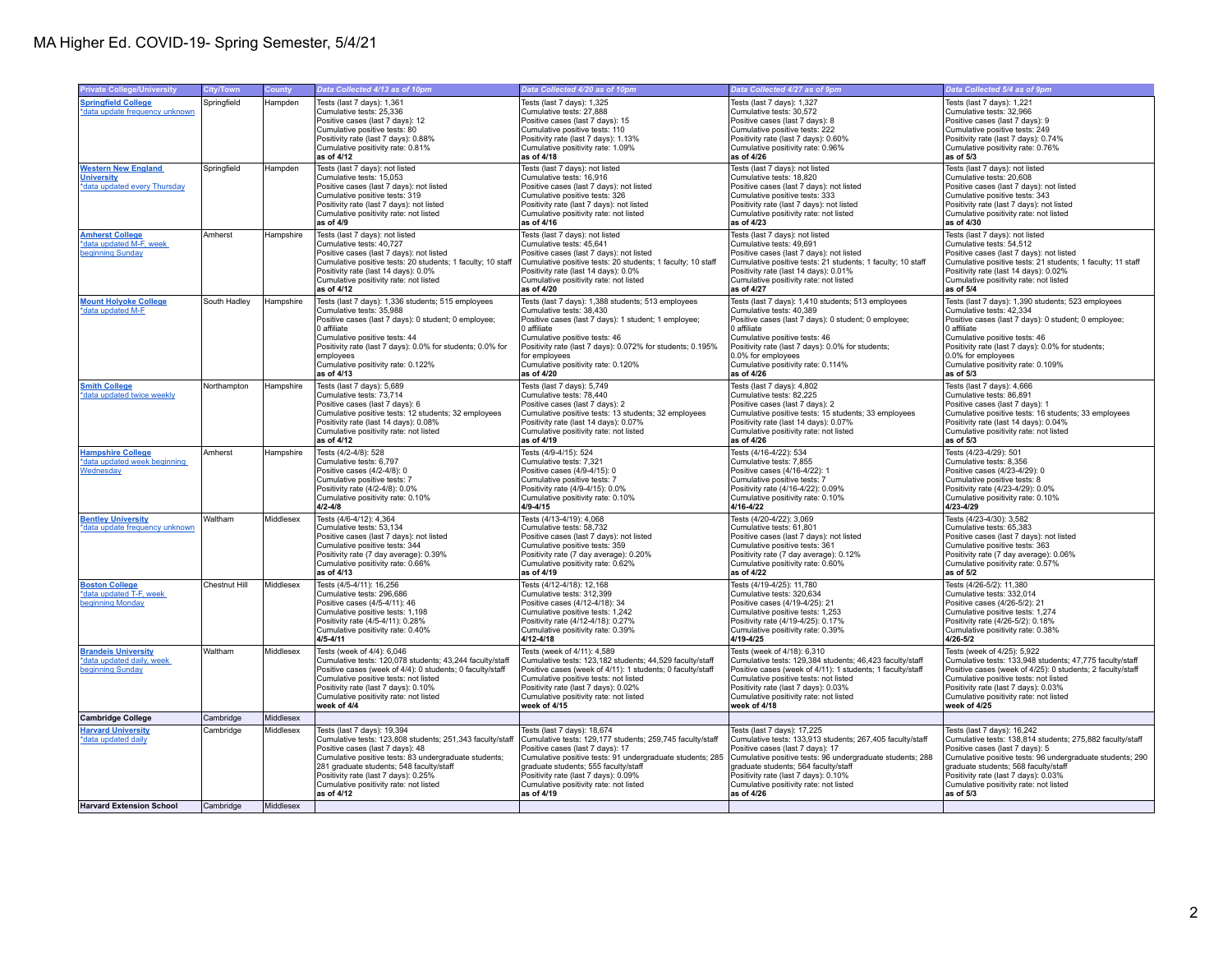| <b>Private College/University</b> | City/Town     | County    | Data Collected 4/13 as of 10pm                              | Data Collected 4/20 as of 10pm                              | Data Collected 4/27 as of 9pm                               | Data Collected 5/4 as of 9pm                                |
|-----------------------------------|---------------|-----------|-------------------------------------------------------------|-------------------------------------------------------------|-------------------------------------------------------------|-------------------------------------------------------------|
| <b>Springfield College</b>        | Springfield   | Hampden   | Tests (last 7 days): 1,361                                  | Tests (last 7 days): 1,325                                  | Tests (last 7 days): 1,327                                  | Tests (last 7 days): 1,221                                  |
| data update frequency unknown     |               |           | Cumulative tests: 25,336                                    | Cumulative tests: 27,888                                    | Cumulative tests: 30,572                                    | Cumulative tests: 32,966                                    |
|                                   |               |           | Positive cases (last 7 days): 12                            |                                                             |                                                             |                                                             |
|                                   |               |           |                                                             | Positive cases (last 7 days): 15                            | Positive cases (last 7 days): 8                             | Positive cases (last 7 days): 9                             |
|                                   |               |           | Cumulative positive tests: 80                               | Cumulative positive tests: 110                              | Cumulative positive tests: 222                              | Cumulative positive tests: 249                              |
|                                   |               |           | Positivity rate (last 7 days): 0.88%                        | Positivity rate (last 7 days): 1.13%                        | Positivity rate (last 7 days): 0.60%                        | Positivity rate (last 7 days): 0.74%                        |
|                                   |               |           | Cumulative positivity rate: 0.81%                           | Cumulative positivity rate: 1.09%                           | Cumulative positivity rate: 0.96%                           | Cumulative positivity rate: 0.76%                           |
|                                   |               |           | as of 4/12                                                  | as of 4/18                                                  | as of 4/26                                                  | as of 5/3                                                   |
| <b>Western New England</b>        | Springfield   | Hampden   | Tests (last 7 days): not listed                             | Tests (last 7 days): not listed                             | Tests (last 7 days): not listed                             | Tests (last 7 days): not listed                             |
|                                   |               |           |                                                             |                                                             |                                                             |                                                             |
| <b>University</b>                 |               |           | Cumulative tests: 15,053                                    | Cumulative tests: 16,916                                    | Cumulative tests: 18,820                                    | Cumulative tests: 20,608                                    |
| *data updated every Thursday      |               |           | Positive cases (last 7 days): not listed                    | Positive cases (last 7 days): not listed                    | Positive cases (last 7 days): not listed                    | Positive cases (last 7 days): not listed                    |
|                                   |               |           | Cumulative positive tests: 319                              | Cumulative positive tests: 326                              | Cumulative positive tests: 333                              | Cumulative positive tests: 343                              |
|                                   |               |           | Positivity rate (last 7 days): not listed                   | Positivity rate (last 7 days): not listed                   | Positivity rate (last 7 days): not listed                   | Positivity rate (last 7 days): not listed                   |
|                                   |               |           | Cumulative positivity rate: not listed                      | Cumulative positivity rate: not listed                      | Cumulative positivity rate: not listed                      | Cumulative positivity rate: not listed                      |
|                                   |               |           | as of 4/9                                                   | as of 4/16                                                  | as of 4/23                                                  | as of 4/30                                                  |
|                                   |               |           |                                                             |                                                             |                                                             |                                                             |
| <b>Amherst College</b>            | Amherst       | Hampshire | Tests (last 7 days): not listed                             | Tests (last 7 days): not listed                             | Tests (last 7 days): not listed                             | Tests (last 7 days): not listed                             |
| *data updated M-F, week           |               |           | Cumulative tests: 40,727                                    | Cumulative tests: 45,641                                    | Cumulative tests: 49,691                                    | Cumulative tests: 54,512                                    |
| beginning Sunday                  |               |           | Positive cases (last 7 days): not listed                    | Positive cases (last 7 days): not listed                    | Positive cases (last 7 days): not listed                    | Positive cases (last 7 days): not listed                    |
|                                   |               |           | Cumulative positive tests: 20 students; 1 faculty; 10 staff | Cumulative positive tests: 20 students; 1 faculty; 10 staff | Cumulative positive tests: 21 students; 1 faculty; 10 staff | Cumulative positive tests: 21 students; 1 faculty; 11 staff |
|                                   |               |           | Positivity rate (last 14 days): 0.0%                        | Positivity rate (last 14 days): 0.0%                        | Positivity rate (last 14 days): 0.01%                       | Positivity rate (last 14 days): 0.02%                       |
|                                   |               |           | Cumulative positivity rate: not listed                      | Cumulative positivity rate: not listed                      | Cumulative positivity rate: not listed                      | Cumulative positivity rate: not listed                      |
|                                   |               |           | as of 4/12                                                  | as of 4/20                                                  | as of 4/27                                                  | as of $5/4$                                                 |
|                                   |               |           |                                                             |                                                             |                                                             |                                                             |
| <b>Mount Holyoke College</b>      | South Hadley  | Hampshire | Tests (last 7 days): 1,336 students; 515 employees          | Tests (last 7 days): 1,388 students; 513 employees          | Tests (last 7 days): 1,410 students; 513 employees          | Tests (last 7 days): 1,390 students; 523 employees          |
| *data updated M-F                 |               |           | Cumulative tests: 35,988                                    | Cumulative tests: 38,430                                    | Cumulative tests: 40,389                                    | Cumulative tests: 42.334                                    |
|                                   |               |           | Positive cases (last 7 days): 0 student; 0 employee;        | Positive cases (last 7 days): 1 student; 1 employee;        | Positive cases (last 7 days): 0 student; 0 employee;        | Positive cases (last 7 days): 0 student; 0 employee;        |
|                                   |               |           | 0 affiliate                                                 | 0 affiliate                                                 | 0 affiliate                                                 | 0 affiliate                                                 |
|                                   |               |           | Cumulative positive tests: 44                               | Cumulative positive tests: 46                               | Cumulative positive tests: 46                               | Cumulative positive tests: 46                               |
|                                   |               |           | Positivity rate (last 7 days): 0.0% for students; 0.0% for  | Positivity rate (last 7 days): 0.072% for students; 0.195%  | Positivity rate (last 7 days): 0.0% for students;           | Positivity rate (last 7 days): 0.0% for students;           |
|                                   |               |           | employees                                                   | for employees                                               | 0.0% for employees                                          | 0.0% for employees                                          |
|                                   |               |           | Cumulative positivity rate: 0.122%                          | Cumulative positivity rate: 0.120%                          | Cumulative positivity rate: 0.114%                          | Cumulative positivity rate: 0.109%                          |
|                                   |               |           | as of 4/13                                                  | as of 4/20                                                  | as of 4/26                                                  | as of 5/3                                                   |
|                                   |               |           |                                                             |                                                             |                                                             |                                                             |
| <b>Smith College</b>              | Northampton   | Hampshire | Tests (last 7 days): 5,689                                  | Tests (last 7 days): 5,749                                  | Tests (last 7 days): 4,802                                  | Tests (last 7 days): 4,666                                  |
| *data updated twice weekly        |               |           | Cumulative tests: 73,714                                    | Cumulative tests: 78,440                                    | Cumulative tests: 82,225                                    | Cumulative tests: 86,891                                    |
|                                   |               |           | Positive cases (last 7 days): 6                             | Positive cases (last 7 days): 2                             | Positive cases (last 7 days): 2                             | Positive cases (last 7 days): 1                             |
|                                   |               |           | Cumulative positive tests: 12 students; 32 employees        | Cumulative positive tests: 13 students; 32 employees        | Cumulative positive tests: 15 students; 33 employees        | Cumulative positive tests: 16 students; 33 employees        |
|                                   |               |           | Positivity rate (last 14 days): 0.08%                       | Positivity rate (last 14 days): 0.07%                       | Positivity rate (last 14 days): 0.07%                       | Positivity rate (last 14 days): 0.04%                       |
|                                   |               |           | Cumulative positivity rate: not listed                      | Cumulative positivity rate: not listed                      | Cumulative positivity rate: not listed                      | Cumulative positivity rate: not listed                      |
|                                   |               |           | as of 4/12                                                  | as of 4/19                                                  | as of 4/26                                                  | as of $5/3$                                                 |
|                                   |               |           |                                                             |                                                             |                                                             |                                                             |
| <b>Hampshire College</b>          | Amherst       | Hampshire | Tests (4/2-4/8): 528                                        | Tests (4/9-4/15): 524                                       | Tests (4/16-4/22): 534                                      | Tests (4/23-4/29): 501                                      |
| *data updated week beginning      |               |           | Cumulative tests: 6,797                                     | Cumulative tests: 7,321                                     | Cumulative tests: 7,855                                     | Cumulative tests: 8,356                                     |
| Wednesday                         |               |           | Positive cases (4/2-4/8): 0                                 | Positive cases (4/9-4/15): 0                                | Positive cases (4/16-4/22): 1                               | Positive cases (4/23-4/29): 0                               |
|                                   |               |           | Cumulative positive tests: 7                                | Cumulative positive tests: 7                                | Cumulative positive tests: 7                                | Cumulative positive tests: 8                                |
|                                   |               |           | Positivity rate (4/2-4/8): 0.0%                             | Positivity rate (4/9-4/15): 0.0%                            | Positivity rate (4/16-4/22): 0.09%                          | Positivity rate (4/23-4/29): 0.0%                           |
|                                   |               |           | Cumulative positivity rate: 0.10%                           | Cumulative positivity rate: 0.10%                           | Cumulative positivity rate: 0.10%                           | Cumulative positivity rate: 0.10%                           |
|                                   |               |           | $4/2 - 4/8$                                                 | 4/9-4/15                                                    | $4/16 - 4/22$                                               | 4/23-4/29                                                   |
|                                   |               |           |                                                             |                                                             |                                                             |                                                             |
| <b>Bentley University</b>         | Waltham       | Middlesex | Tests (4/6-4/12): 4,364                                     | Tests (4/13-4/19): 4,068                                    | Tests (4/20-4/22): 3,069                                    | Tests (4/23-4/30): 3,582                                    |
| *data update frequency unknown    |               |           | Cumulative tests: 53.134                                    | Cumulative tests: 58.732                                    | Cumulative tests: 61.801                                    | Cumulative tests: 65.383                                    |
|                                   |               |           | Positive cases (last 7 days): not listed                    | Positive cases (last 7 days): not listed                    | Positive cases (last 7 days): not listed                    | Positive cases (last 7 days): not listed                    |
|                                   |               |           | Cumulative positive tests: 344                              | Cumulative positive tests: 359                              | Cumulative positive tests: 361                              | Cumulative positive tests: 363                              |
|                                   |               |           | Positivity rate (7 day average): 0.39%                      | Positivity rate (7 day average): 0.20%                      | Positivity rate (7 day average): 0.12%                      | Positivity rate (7 day average): 0.06%                      |
|                                   |               |           | Cumulative positivity rate: 0.66%                           | Cumulative positivity rate: 0.62%                           | Cumulative positivity rate: 0.60%                           | Cumulative positivity rate: 0.57%                           |
|                                   |               |           | as of 4/13                                                  | as of 4/19                                                  | as of 4/22                                                  | as of 5/2                                                   |
|                                   |               |           |                                                             |                                                             |                                                             |                                                             |
| <b>Boston College</b>             | Chestnut Hill | Middlesex | Tests (4/5-4/11): 16,256                                    | Tests (4/12-4/18): 12,168                                   | Tests (4/19-4/25): 11,780                                   | Tests (4/26-5/2): 11,380                                    |
| *data updated T-F, week           |               |           | Cumulative tests: 296.686                                   | Cumulative tests: 312.399                                   | Cumulative tests: 320.634                                   | Cumulative tests: 332.014                                   |
| beginning Monday                  |               |           | Positive cases (4/5-4/11): 46                               | Positive cases (4/12-4/18): 34                              | Positive cases (4/19-4/25): 21                              | Positive cases (4/26-5/2): 21                               |
|                                   |               |           | Cumulative positive tests: 1,198                            | Cumulative positive tests: 1,242                            | Cumulative positive tests: 1,253                            | Cumulative positive tests: 1,274                            |
|                                   |               |           | Positivity rate (4/5-4/11): 0.28%                           | Positivity rate (4/12-4/18): 0.27%                          | Positivity rate (4/19-4/25): 0.17%                          | Positivity rate (4/26-5/2): 0.18%                           |
|                                   |               |           | Cumulative positivity rate: 0.40%                           | Cumulative positivity rate: 0.39%                           | Cumulative positivity rate: 0.39%                           | Cumulative positivity rate: 0.38%                           |
|                                   |               |           | $4/5 - 4/11$                                                | $4/12 - 4/18$                                               | 4/19-4/25                                                   | 4/26-5/2                                                    |
|                                   | Waltham       | Middlesex | Tests (week of 4/4): 6,046                                  | Tests (week of 4/11): 4,589                                 | Tests (week of 4/18): 6,310                                 | Tests (week of 4/25): 5,922                                 |
| <b>Brandeis University</b>        |               |           | Cumulative tests: 120,078 students; 43,244 faculty/staff    | Cumulative tests: 123,182 students; 44,529 faculty/staff    |                                                             |                                                             |
| *data updated daily, week         |               |           |                                                             |                                                             | Cumulative tests: 129,384 students; 46,423 faculty/staff    | Cumulative tests: 133,948 students; 47,775 faculty/staff    |
| beginning Sunday                  |               |           | Positive cases (week of 4/4): 0 students; 0 faculty/staff   | Positive cases (week of 4/11): 1 students: 0 faculty/staff  | Positive cases (week of 4/11): 1 students: 1 faculty/staff  | Positive cases (week of 4/25): 0 students: 2 faculty/staff  |
|                                   |               |           | Cumulative positive tests: not listed                       | Cumulative positive tests: not listed                       | Cumulative positive tests: not listed                       | Cumulative positive tests: not listed                       |
|                                   |               |           | Positivity rate (last 7 days): 0.10%                        | Positivity rate (last 7 days): 0.02%                        | Positivity rate (last 7 days): 0.03%                        | Positivity rate (last 7 days): 0.03%                        |
|                                   |               |           | Cumulative positivity rate: not listed                      | Cumulative positivity rate: not listed                      | Cumulative positivity rate: not listed                      | Cumulative positivity rate: not listed                      |
|                                   |               |           | week of 4/4                                                 | week of 4/15                                                | week of 4/18                                                | week of 4/25                                                |
| <b>Cambridge College</b>          | Cambridge     | Middlesex |                                                             |                                                             |                                                             |                                                             |
| <b>Harvard University</b>         | Cambridge     | Middlesex | Tests (last 7 days): 19,394                                 | Tests (last 7 days): 18,674                                 | Tests (last 7 days): 17,225                                 | Tests (last 7 days): 16,242                                 |
| *data updated daily               |               |           | Cumulative tests: 123,808 students; 251,343 faculty/staff   | Cumulative tests: 129,177 students; 259,745 faculty/staff   | Cumulative tests: 133,913 students; 267,405 faculty/staff   | Cumulative tests: 138,814 students; 275,882 faculty/staff   |
|                                   |               |           | Positive cases (last 7 days): 48                            | Positive cases (last 7 days): 17                            | Positive cases (last 7 days): 17                            | Positive cases (last 7 days): 5                             |
|                                   |               |           | Cumulative positive tests: 83 undergraduate students:       | Cumulative positive tests: 91 undergraduate students; 285   | Cumulative positive tests: 96 undergraduate students; 288   | Cumulative positive tests: 96 undergraduate students: 290   |
|                                   |               |           | 281 graduate students; 548 faculty/staff                    | graduate students; 555 faculty/staff                        | graduate students; 564 faculty/staff                        | graduate students; 568 faculty/staff                        |
|                                   |               |           | Positivity rate (last 7 days): 0.25%                        | Positivity rate (last 7 days): 0.09%                        | Positivity rate (last 7 days): 0.10%                        | Positivity rate (last 7 days): 0.03%                        |
|                                   |               |           |                                                             |                                                             |                                                             |                                                             |
|                                   |               |           |                                                             |                                                             |                                                             |                                                             |
|                                   |               |           | Cumulative positivity rate: not listed                      | Cumulative positivity rate: not listed                      | Cumulative positivity rate: not listed                      | Cumulative positivity rate: not listed                      |
| <b>Harvard Extension School</b>   | Cambridge     | Middlesex | as of 4/12                                                  | as of 4/19                                                  | as of 4/26                                                  | as of 5/3                                                   |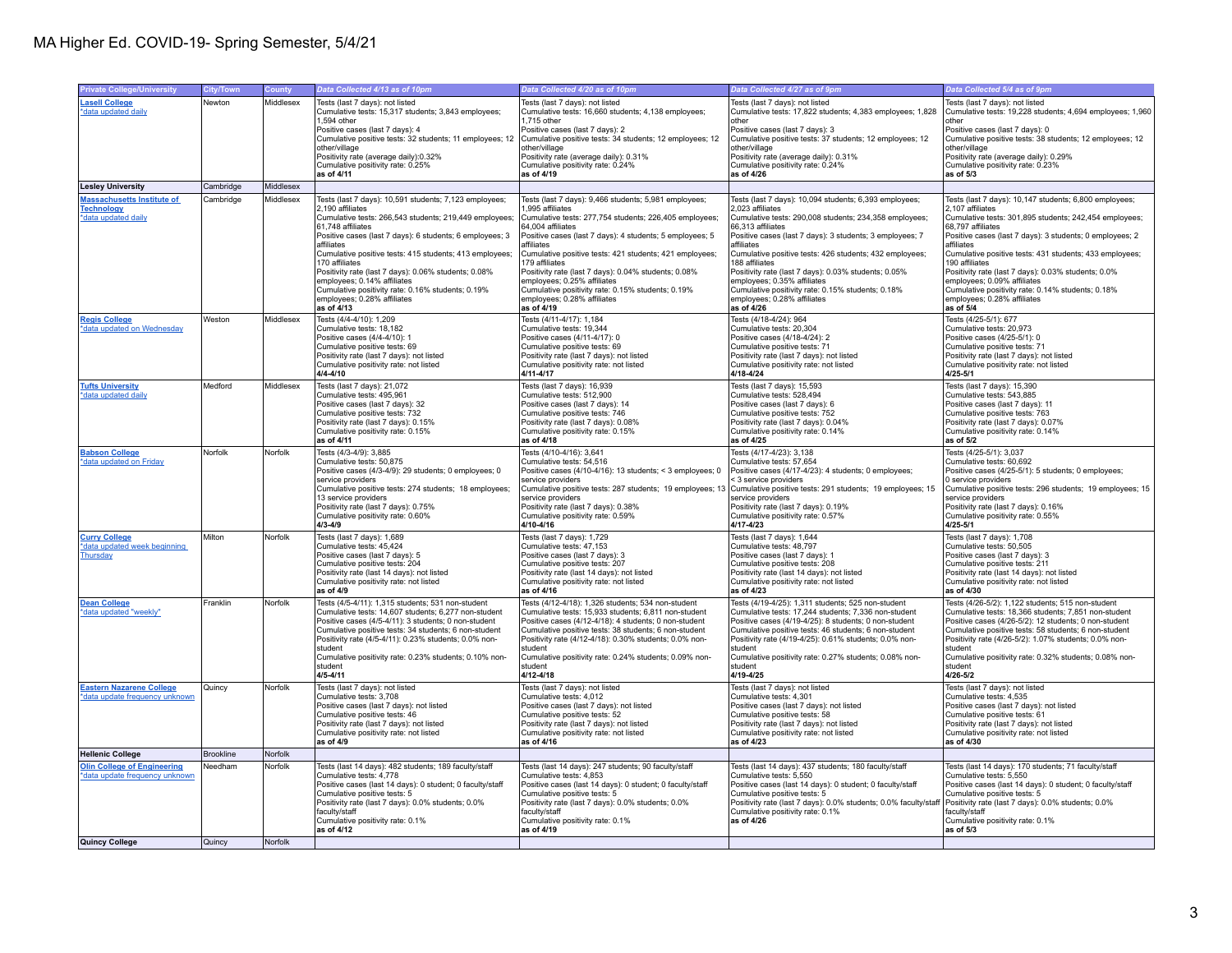## MA Higher Ed. COVID-19- Spring Semester, 5/4/21

|                                    |           | County    | Data Collected 4/13 as of 10pm                                                                                | Data Collected 4/20 as of 10pm                                                                                 | Data Collected 4/27 as of 9pm                                                                                  | Data Collected 5/4 as of 9pm                                                                                   |
|------------------------------------|-----------|-----------|---------------------------------------------------------------------------------------------------------------|----------------------------------------------------------------------------------------------------------------|----------------------------------------------------------------------------------------------------------------|----------------------------------------------------------------------------------------------------------------|
| <b>Private College/University</b>  | City/Town |           |                                                                                                               |                                                                                                                |                                                                                                                |                                                                                                                |
| <b>Lasell College</b>              | Newton    | Middlesex | Tests (last 7 days): not listed                                                                               | Tests (last 7 days): not listed                                                                                | Tests (last 7 days): not listed                                                                                | Tests (last 7 days): not listed                                                                                |
| *data updated daily                |           |           | Cumulative tests: 15,317 students; 3,843 employees;                                                           | Cumulative tests: 16,660 students; 4,138 employees;                                                            | Cumulative tests: 17,822 students; 4,383 employees; 1,828                                                      | Cumulative tests: 19,228 students; 4,694 employees; 1,960                                                      |
|                                    |           |           | 1,594 other                                                                                                   | 1,715 other                                                                                                    | other                                                                                                          | other                                                                                                          |
|                                    |           |           | Positive cases (last 7 days): 4                                                                               | Positive cases (last 7 days): 2                                                                                | Positive cases (last 7 days): 3                                                                                | Positive cases (last 7 days): 0                                                                                |
|                                    |           |           | Cumulative positive tests: 32 students; 11 employees; 12                                                      | Cumulative positive tests: 34 students; 12 employees; 12                                                       | Cumulative positive tests: 37 students; 12 employees; 12                                                       | Cumulative positive tests: 38 students; 12 employees; 12                                                       |
|                                    |           |           | other/village                                                                                                 | other/village                                                                                                  | other/village                                                                                                  | other/village                                                                                                  |
|                                    |           |           | Positivity rate (average daily):0.32%<br>Cumulative positivity rate: 0.25%                                    | Positivity rate (average daily): 0.31%<br>Cumulative positivity rate: 0.24%                                    | Positivity rate (average daily): 0.31%<br>Cumulative positivity rate: 0.24%                                    | Positivity rate (average daily): 0.29%<br>Cumulative positivity rate: 0.23%                                    |
|                                    |           |           | as of 4/11                                                                                                    | as of 4/19                                                                                                     | as of 4/26                                                                                                     | as of $5/3$                                                                                                    |
| <b>Lesley University</b>           | Cambridge | Middlesex |                                                                                                               |                                                                                                                |                                                                                                                |                                                                                                                |
| <b>Massachusetts Institute of</b>  | Cambridge | Middlesex | Tests (last 7 days): 10,591 students; 7,123 employees;                                                        | Tests (last 7 days): 9,466 students; 5,981 employees;                                                          | Tests (last 7 days): 10,094 students; 6,393 employees;                                                         | Tests (last 7 days): 10,147 students; 6,800 employees;                                                         |
| <b>Technology</b>                  |           |           | 2,190 affiliates                                                                                              | 1,995 affiliates                                                                                               | 2023 affiliates                                                                                                | 2.107 affiliates                                                                                               |
| *data updated daily                |           |           | Cumulative tests: 266,543 students; 219,449 employees;                                                        | Cumulative tests: 277,754 students; 226,405 employees;                                                         | Cumulative tests: 290,008 students; 234,358 employees;                                                         | Cumulative tests: 301,895 students; 242,454 employees;                                                         |
|                                    |           |           | 61.748 affiliates                                                                                             | 64,004 affiliates                                                                                              | 66,313 affiliates                                                                                              | 68,797 affiliates                                                                                              |
|                                    |           |           | Positive cases (last 7 days): 6 students; 6 employees; 3                                                      | Positive cases (last 7 days): 4 students; 5 employees; 5                                                       | Positive cases (last 7 days): 3 students; 3 employees; 7                                                       | Positive cases (last 7 days): 3 students; 0 employees; 2                                                       |
|                                    |           |           | affiliates                                                                                                    | affiliates                                                                                                     | affiliates                                                                                                     | affiliates                                                                                                     |
|                                    |           |           | Cumulative positive tests: 415 students; 413 employees;                                                       | Cumulative positive tests: 421 students; 421 employees;                                                        | Cumulative positive tests: 426 students; 432 employees;                                                        | Cumulative positive tests: 431 students; 433 employees;                                                        |
|                                    |           |           | 170 affiliates                                                                                                | 179 affiliates                                                                                                 | 188 affiliates                                                                                                 | 190 affiliates                                                                                                 |
|                                    |           |           | Positivity rate (last 7 days): 0.06% students; 0.08%                                                          | Positivity rate (last 7 days): 0.04% students; 0.08%                                                           | Positivity rate (last 7 days): 0.03% students; 0.05%                                                           | Positivity rate (last 7 days): 0.03% students; 0.0%                                                            |
|                                    |           |           | employees; 0.14% affiliates<br>Cumulative positivity rate: 0.16% students; 0.19%                              | employees; 0.25% affiliates<br>Cumulative positivity rate: 0.15% students; 0.19%                               | employees; 0.35% affiliates<br>Cumulative positivity rate: 0.15% students; 0.18%                               | employees; 0.09% affiliates<br>Cumulative positivity rate: 0.14% students; 0.18%                               |
|                                    |           |           | employees; 0.28% affiliates                                                                                   | employees; 0.28% affiliates                                                                                    | employees; 0.28% affiliates                                                                                    | employees; 0.28% affiliates                                                                                    |
|                                    |           |           | as of $4/13$                                                                                                  | as of $4/19$                                                                                                   | as of $4/26$                                                                                                   | as of 5/4                                                                                                      |
| <b>Regis College</b>               | Weston    | Middlesex | Tests (4/4-4/10): 1,209                                                                                       | Tests (4/11-4/17): 1,184                                                                                       | Tests (4/18-4/24): 964                                                                                         | Tests (4/25-5/1): 677                                                                                          |
| *data updated on Wednesday         |           |           | Cumulative tests: 18,182                                                                                      | Cumulative tests: 19,344                                                                                       | Cumulative tests: 20,304                                                                                       | Cumulative tests: 20,973                                                                                       |
|                                    |           |           | Positive cases (4/4-4/10): 1                                                                                  | Positive cases (4/11-4/17): 0                                                                                  | Positive cases (4/18-4/24): 2                                                                                  | Positive cases (4/25-5/1): 0                                                                                   |
|                                    |           |           | Cumulative positive tests: 69                                                                                 | Cumulative positive tests: 69                                                                                  | Cumulative positive tests: 71                                                                                  | Cumulative positive tests: 71                                                                                  |
|                                    |           |           | Positivity rate (last 7 days): not listed                                                                     | Positivity rate (last 7 days): not listed                                                                      | Positivity rate (last 7 days): not listed                                                                      | Positivity rate (last 7 days): not listed                                                                      |
|                                    |           |           | Cumulative positivity rate: not listed<br>$4/4 - 4/10$                                                        | Cumulative positivity rate: not listed<br>4/11-4/17                                                            | Cumulative positivity rate: not listed<br>4/18-4/24                                                            | Cumulative positivity rate: not listed<br>$4/25 - 5/1$                                                         |
| <b>Tufts University</b>            | Medford   | Middlesex | Tests (last 7 days): 21,072                                                                                   | Tests (last 7 days): 16,939                                                                                    | Tests (last 7 days): 15,593                                                                                    | Tests (last 7 days): 15,390                                                                                    |
| *data updated daily                |           |           | Cumulative tests: 495,961                                                                                     | Cumulative tests: 512,900                                                                                      | Cumulative tests: 528,494                                                                                      | Cumulative tests: 543,885                                                                                      |
|                                    |           |           | Positive cases (last 7 days): 32                                                                              | Positive cases (last 7 days): 14                                                                               | Positive cases (last 7 days): 6                                                                                | Positive cases (last 7 days): 11                                                                               |
|                                    |           |           | Cumulative positive tests: 732                                                                                | Cumulative positive tests: 746                                                                                 | Cumulative positive tests: 752                                                                                 | Cumulative positive tests: 763                                                                                 |
|                                    |           |           | Positivity rate (last 7 days): 0.15%                                                                          | Positivity rate (last 7 days): 0.08%                                                                           | Positivity rate (last 7 days): 0.04%                                                                           | Positivity rate (last 7 days): 0.07%                                                                           |
|                                    |           |           | Cumulative positivity rate: 0.15%                                                                             | Cumulative positivity rate: 0.15%                                                                              | Cumulative positivity rate: 0.14%                                                                              | Cumulative positivity rate: 0.14%                                                                              |
|                                    |           |           | as of 4/11                                                                                                    | as of 4/18                                                                                                     | as of 4/25                                                                                                     | as of 5/2                                                                                                      |
| <b>Babson College</b>              | Norfolk   | Norfolk   | Tests (4/3-4/9): 3,885                                                                                        | Tests (4/10-4/16): 3,641                                                                                       | Tests (4/17-4/23): 3,138                                                                                       | Tests (4/25-5/1): 3,037                                                                                        |
| *data updated on Friday            |           |           | Cumulative tests: 50.875                                                                                      | Cumulative tests: 54.516                                                                                       | Cumulative tests: 57.654                                                                                       | Cumulative tests: 60.692                                                                                       |
|                                    |           |           | Positive cases (4/3-4/9): 29 students; 0 employees; 0<br>service providers                                    | Positive cases (4/10-4/16): 13 students; < 3 employees; 0<br>service providers                                 | Positive cases (4/17-4/23): 4 students; 0 employees;<br>3 service providers                                    | Positive cases (4/25-5/1): 5 students; 0 employees;<br>0 service providers                                     |
|                                    |           |           | Cumulative positive tests: 274 students; 18 employees;                                                        | Cumulative positive tests: 287 students; 19 employees; 13                                                      | Cumulative positive tests: 291 students; 19 employees; 15                                                      | Cumulative positive tests: 296 students; 19 employees; 15                                                      |
|                                    |           |           | 13 service providers                                                                                          | service providers                                                                                              | service providers                                                                                              | service providers                                                                                              |
|                                    |           |           | Positivity rate (last 7 days): 0.75%                                                                          | Positivity rate (last 7 days): 0.38%                                                                           | Positivity rate (last 7 days): 0.19%                                                                           | Positivity rate (last 7 days): 0.16%                                                                           |
|                                    |           |           | Cumulative positivity rate: 0.60%                                                                             | Cumulative positivity rate: 0.59%                                                                              | Cumulative positivity rate: 0.57%                                                                              | Cumulative positivity rate: 0.55%                                                                              |
|                                    |           |           | $4/3 - 4/9$                                                                                                   | 4/10-4/16                                                                                                      | $4/17 - 4/23$                                                                                                  | $4/25 - 5/1$                                                                                                   |
| <b>Curry College</b>               | Milton    | Norfolk   | Tests (last 7 days): 1,689                                                                                    | Tests (last 7 days): 1,729                                                                                     | Tests (last 7 days): 1,644                                                                                     | Tests (last 7 days): 1,708                                                                                     |
| *data updated week beginning       |           |           | Cumulative tests: 45,424                                                                                      | Cumulative tests: 47,153                                                                                       | Cumulative tests: 48,797                                                                                       | Cumulative tests: 50,505                                                                                       |
| Thursday                           |           |           | Positive cases (last 7 days): 5<br>Cumulative positive tests: 204                                             | Positive cases (last 7 days): 3<br>Cumulative positive tests: 207                                              | Positive cases (last 7 days): 1<br>Cumulative positive tests: 208                                              | Positive cases (last 7 days): 3<br>Cumulative positive tests: 211                                              |
|                                    |           |           | Positivity rate (last 14 days): not listed                                                                    | Positivity rate (last 14 days): not listed                                                                     | Positivity rate (last 14 days): not listed                                                                     | Positivity rate (last 14 days): not listed                                                                     |
|                                    |           |           | Cumulative positivity rate: not listed                                                                        | Cumulative positivity rate: not listed                                                                         | Cumulative positivity rate: not listed                                                                         | Cumulative positivity rate: not listed                                                                         |
|                                    |           |           | as of 4/9                                                                                                     | as of 4/16                                                                                                     | as of 4/23                                                                                                     | as of 4/30                                                                                                     |
| <b>Dean College</b>                | Franklin  | Norfolk   | Tests (4/5-4/11): 1,315 students; 531 non-student                                                             | Tests (4/12-4/18): 1,326 students; 534 non-student                                                             | Tests (4/19-4/25): 1,311 students; 525 non-student                                                             | Tests (4/26-5/2): 1,122 students; 515 non-student                                                              |
| *data updated "weekly"             |           |           | Cumulative tests: 14,607 students; 6,277 non-student                                                          | Cumulative tests: 15,933 students; 6,811 non-student                                                           | Cumulative tests: 17,244 students; 7,336 non-student                                                           | Cumulative tests: 18,366 students; 7,851 non-student                                                           |
|                                    |           |           | Positive cases (4/5-4/11): 3 students; 0 non-student<br>Cumulative positive tests: 34 students: 6 non-student | Positive cases (4/12-4/18): 4 students; 0 non-student<br>Cumulative positive tests: 38 students: 6 non-student | Positive cases (4/19-4/25): 8 students; 0 non-student<br>Cumulative positive tests: 46 students: 6 non-student | Positive cases (4/26-5/2): 12 students; 0 non-student<br>Cumulative positive tests: 58 students: 6 non-student |
|                                    |           |           | Positivity rate (4/5-4/11): 0.23% students; 0.0% non-                                                         | Positivity rate (4/12-4/18): 0.30% students; 0.0% non-                                                         | Positivity rate (4/19-4/25): 0.61% students; 0.0% non-                                                         | Positivity rate (4/26-5/2): 1.07% students; 0.0% non-                                                          |
|                                    |           |           | student                                                                                                       | student                                                                                                        | student                                                                                                        | student                                                                                                        |
|                                    |           |           | Cumulative positivity rate: 0.23% students; 0.10% non-                                                        | Cumulative positivity rate: 0.24% students; 0.09% non-                                                         | Cumulative positivity rate: 0.27% students; 0.08% non-                                                         | Cumulative positivity rate: 0.32% students; 0.08% non-                                                         |
|                                    |           |           | student                                                                                                       | student                                                                                                        | student                                                                                                        | student                                                                                                        |
|                                    |           |           | $4/5 - 4/11$                                                                                                  | 4/12-4/18                                                                                                      | 4/19-4/25                                                                                                      | 4/26-5/2                                                                                                       |
| <b>Eastern Nazarene College</b>    | Quincy    | Norfolk   | Tests (last 7 days): not listed                                                                               | Tests (last 7 days): not listed                                                                                | Tests (last 7 days): not listed                                                                                | Tests (last 7 days): not listed                                                                                |
| *data update frequency unknown     |           |           | Cumulative tests: 3.708                                                                                       | Cumulative tests: 4.012                                                                                        | Cumulative tests: 4.301                                                                                        | Cumulative tests: 4.535                                                                                        |
|                                    |           |           | Positive cases (last 7 days): not listed                                                                      | Positive cases (last 7 days): not listed                                                                       | Positive cases (last 7 days): not listed                                                                       | Positive cases (last 7 days): not listed                                                                       |
|                                    |           |           | Cumulative positive tests: 46<br>Positivity rate (last 7 days): not listed                                    | Cumulative positive tests: 52<br>Positivity rate (last 7 days): not listed                                     | Cumulative positive tests: 58<br>Positivity rate (last 7 days): not listed                                     | Cumulative positive tests: 61<br>Positivity rate (last 7 days): not listed                                     |
|                                    |           |           | Cumulative positivity rate: not listed                                                                        | Cumulative positivity rate: not listed                                                                         | Cumulative positivity rate: not listed                                                                         | Cumulative positivity rate: not listed                                                                         |
|                                    |           |           | as of 4/9                                                                                                     | as of 4/16                                                                                                     | as of 4/23                                                                                                     | as of 4/30                                                                                                     |
| <b>Hellenic College</b>            | Brookline | Norfolk   |                                                                                                               |                                                                                                                |                                                                                                                |                                                                                                                |
| <b>Olin College of Engineering</b> | Needham   | Norfolk   | Tests (last 14 days): 482 students; 189 faculty/staff                                                         | Tests (last 14 days): 247 students; 90 faculty/staff                                                           | Tests (last 14 days): 437 students; 180 faculty/staff                                                          | Tests (last 14 days): 170 students; 71 faculty/staff                                                           |
| *data update frequency unknown     |           |           | Cumulative tests: 4.778                                                                                       | Cumulative tests: 4.853                                                                                        | Cumulative tests: 5.550                                                                                        | Cumulative tests: 5.550                                                                                        |
|                                    |           |           | Positive cases (last 14 days): 0 student; 0 faculty/staff<br>Cumulative positive tests: 5                     | Positive cases (last 14 days): 0 student; 0 faculty/staff<br>Cumulative positive tests: 5                      | Positive cases (last 14 days): 0 student; 0 faculty/staff<br>Cumulative positive tests: 5                      | Positive cases (last 14 days): 0 student; 0 faculty/staff<br>Cumulative positive tests: 5                      |
|                                    |           |           | Positivity rate (last 7 days): 0.0% students; 0.0%                                                            | Positivity rate (last 7 days): 0.0% students; 0.0%                                                             | Positivity rate (last 7 days): 0.0% students; 0.0% faculty/staff                                               | Positivity rate (last 7 days): 0.0% students; 0.0%                                                             |
|                                    |           |           | faculty/staff                                                                                                 | faculty/staff                                                                                                  | Cumulative positivity rate: 0.1%                                                                               | faculty/staff                                                                                                  |
|                                    |           |           | Cumulative positivity rate: 0.1%                                                                              | Cumulative positivity rate: 0.1%                                                                               | as of 4/26                                                                                                     | Cumulative positivity rate: 0.1%                                                                               |
|                                    |           |           | as of 4/12                                                                                                    | as of 4/19                                                                                                     |                                                                                                                | as of 5/3                                                                                                      |
| Quincy College                     | Quincy    | Norfolk   |                                                                                                               |                                                                                                                |                                                                                                                |                                                                                                                |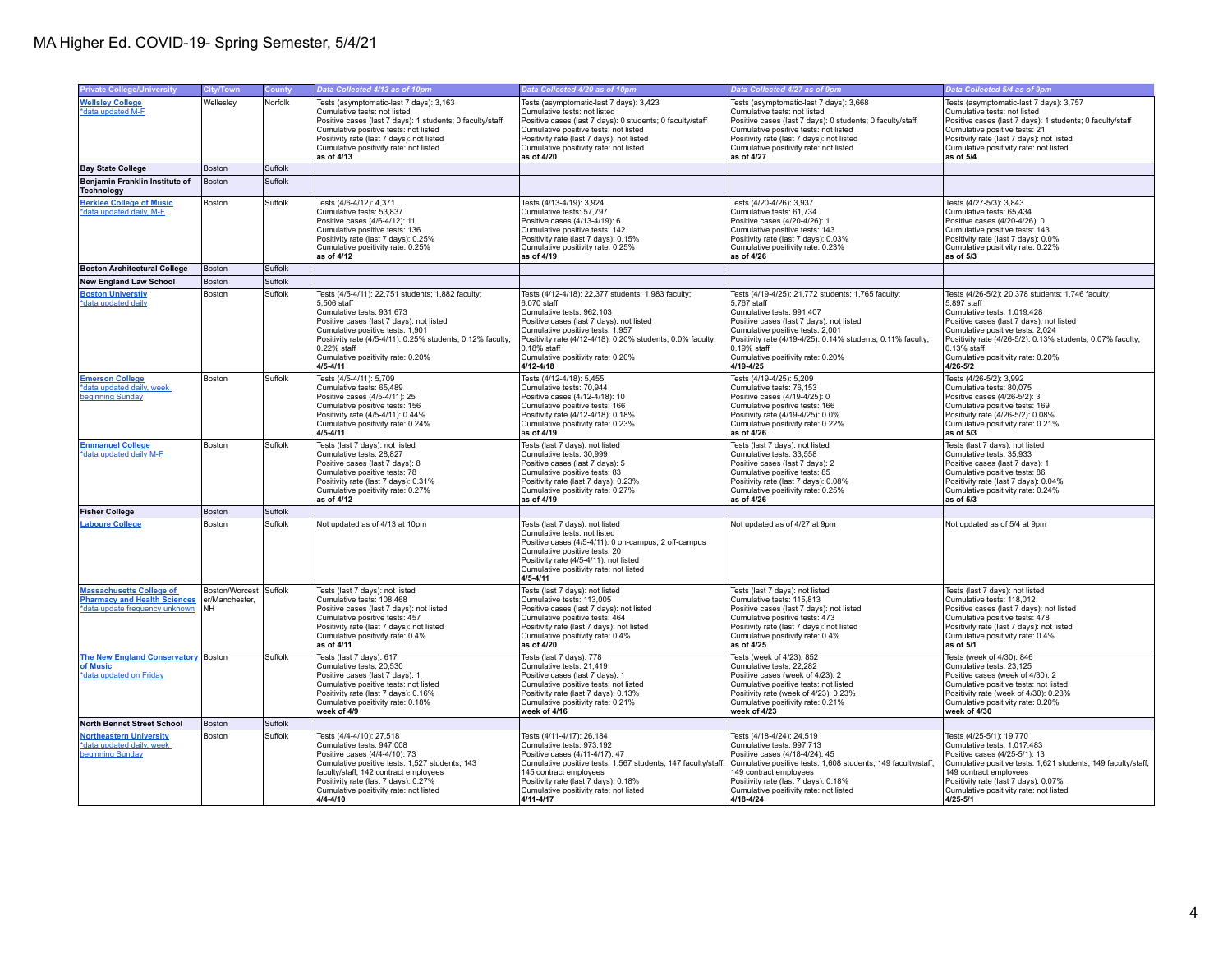| <b>Private College/University</b>                                                                       | City/Town                                       | County  | Data Collected 4/13 as of 10pm                                                                                                                                                                                                                                                                                  | Data Collected 4/20 as of 10pm                                                                                                                                                                                                                                                                                | Data Collected 4/27 as of 9pm                                                                                                                                                                                                                                                                                      | Data Collected 5/4 as of 9pm                                                                                                                                                                                                                                                                                      |
|---------------------------------------------------------------------------------------------------------|-------------------------------------------------|---------|-----------------------------------------------------------------------------------------------------------------------------------------------------------------------------------------------------------------------------------------------------------------------------------------------------------------|---------------------------------------------------------------------------------------------------------------------------------------------------------------------------------------------------------------------------------------------------------------------------------------------------------------|--------------------------------------------------------------------------------------------------------------------------------------------------------------------------------------------------------------------------------------------------------------------------------------------------------------------|-------------------------------------------------------------------------------------------------------------------------------------------------------------------------------------------------------------------------------------------------------------------------------------------------------------------|
|                                                                                                         |                                                 |         |                                                                                                                                                                                                                                                                                                                 |                                                                                                                                                                                                                                                                                                               |                                                                                                                                                                                                                                                                                                                    |                                                                                                                                                                                                                                                                                                                   |
| <b>Wellsley College</b><br>*data updated M-F                                                            | Wellesley                                       | Norfolk | Tests (asymptomatic-last 7 days): 3,163<br>Cumulative tests: not listed<br>Positive cases (last 7 days): 1 students; 0 faculty/staff<br>Cumulative positive tests: not listed<br>Positivity rate (last 7 days): not listed<br>Cumulative positivity rate: not listed                                            | Tests (asymptomatic-last 7 days): 3,423<br>Cumulative tests: not listed<br>Positive cases (last 7 days): 0 students; 0 faculty/staff<br>Cumulative positive tests: not listed<br>Positivity rate (last 7 days): not listed<br>Cumulative positivity rate: not listed                                          | Tests (asymptomatic-last 7 days): 3,668<br>Cumulative tests: not listed<br>Positive cases (last 7 days): 0 students; 0 faculty/staff<br>Cumulative positive tests: not listed<br>Positivity rate (last 7 days): not listed<br>Cumulative positivity rate: not listed                                               | Tests (asymptomatic-last 7 days): 3,757<br>Cumulative tests: not listed<br>Positive cases (last 7 days): 1 students; 0 faculty/staff<br>Cumulative positive tests: 21<br>Positivity rate (last 7 days): not listed<br>Cumulative positivity rate: not listed                                                      |
|                                                                                                         |                                                 |         | as of 4/13                                                                                                                                                                                                                                                                                                      | as of 4/20                                                                                                                                                                                                                                                                                                    | as of 4/27                                                                                                                                                                                                                                                                                                         | as of 5/4                                                                                                                                                                                                                                                                                                         |
| <b>Bay State College</b>                                                                                | Boston                                          | Suffolk |                                                                                                                                                                                                                                                                                                                 |                                                                                                                                                                                                                                                                                                               |                                                                                                                                                                                                                                                                                                                    |                                                                                                                                                                                                                                                                                                                   |
| Beniamin Franklin Institute of<br><b>Technology</b>                                                     | Boston                                          | Suffolk |                                                                                                                                                                                                                                                                                                                 |                                                                                                                                                                                                                                                                                                               |                                                                                                                                                                                                                                                                                                                    |                                                                                                                                                                                                                                                                                                                   |
| <b>Berklee College of Music</b><br>*data updated daily, M-E                                             | Boston                                          | Suffolk | Tests (4/6-4/12): 4,371<br>Cumulative tests: 53,837<br>Positive cases (4/6-4/12): 11<br>Cumulative positive tests: 136<br>Positivity rate (last 7 days): 0.25%<br>Cumulative positivity rate: 0.25%<br>as of 4/12                                                                                               | Tests (4/13-4/19): 3,924<br>Cumulative tests: 57,797<br>Positive cases (4/13-4/19): 6<br>Cumulative positive tests: 142<br>Positivity rate (last 7 days): 0.15%<br>Cumulative positivity rate: 0.25%<br>as of 4/19                                                                                            | Tests (4/20-4/26): 3,937<br>Cumulative tests: 61,734<br>Positive cases (4/20-4/26): 1<br>Cumulative positive tests: 143<br>Positivity rate (last 7 days): 0.03%<br>Cumulative positivity rate: 0.23%<br>as of 4/26                                                                                                 | Tests (4/27-5/3): 3,843<br>Cumulative tests: 65,434<br>Positive cases (4/20-4/26): 0<br>Cumulative positive tests: 143<br>Positivity rate (last 7 days): 0.0%<br>Cumulative positivity rate: 0.22%<br>as of 5/3                                                                                                   |
| <b>Boston Architectural College</b>                                                                     | Boston                                          | Suffolk |                                                                                                                                                                                                                                                                                                                 |                                                                                                                                                                                                                                                                                                               |                                                                                                                                                                                                                                                                                                                    |                                                                                                                                                                                                                                                                                                                   |
| <b>New England Law School</b>                                                                           | Boston                                          | Suffolk |                                                                                                                                                                                                                                                                                                                 |                                                                                                                                                                                                                                                                                                               |                                                                                                                                                                                                                                                                                                                    |                                                                                                                                                                                                                                                                                                                   |
| <b>Boston Universtiy</b><br>*data updated daily                                                         | Boston                                          | Suffolk | Tests (4/5-4/11): 22,751 students; 1,882 faculty;<br>5.506 staff<br>Cumulative tests: 931,673<br>Positive cases (last 7 days): not listed<br>Cumulative positive tests: 1,901<br>Positivity rate (4/5-4/11): 0.25% students; 0.12% faculty;<br>0.22% staff<br>Cumulative positivity rate: 0.20%<br>$4/5 - 4/11$ | Tests (4/12-4/18): 22,377 students; 1,983 faculty;<br>6.070 staff<br>Cumulative tests: 962,103<br>Positive cases (last 7 days): not listed<br>Cumulative positive tests: 1,957<br>Positivity rate (4/12-4/18): 0.20% students; 0.0% faculty;<br>0.18% staff<br>Cumulative positivity rate: 0.20%<br>4/12-4/18 | Tests (4/19-4/25): 21,772 students; 1,765 faculty;<br>5.767 staff<br>Cumulative tests: 991,407<br>Positive cases (last 7 days): not listed<br>Cumulative positive tests: 2,001<br>Positivity rate (4/19-4/25): 0.14% students; 0.11% faculty;<br>0.19% staff<br>Cumulative positivity rate: 0.20%<br>$4/19 - 4/25$ | Tests (4/26-5/2): 20,378 students; 1,746 faculty;<br>5.897 staff<br>Cumulative tests: 1,019,428<br>Positive cases (last 7 days): not listed<br>Cumulative positive tests: 2,024<br>Positivity rate (4/26-5/2): 0.13% students; 0.07% faculty;<br>0.13% staff<br>Cumulative positivity rate: 0.20%<br>$4/26 - 5/2$ |
| <b>Emerson College</b><br>*data updated daily, week<br>beginning Sunday                                 | Boston                                          | Suffolk | Tests (4/5-4/11): 5,709<br>Cumulative tests: 65,489<br>Positive cases (4/5-4/11): 25<br>Cumulative positive tests: 156<br>Positivity rate (4/5-4/11): 0.44%<br>Cumulative positivity rate: 0.24%<br>$4/5 - 4/11$                                                                                                | Tests (4/12-4/18): 5,455<br>Cumulative tests: 70,944<br>Positive cases (4/12-4/18): 10<br>Cumulative positive tests: 166<br>Positivity rate (4/12-4/18): 0.18%<br>Cumulative positivity rate: 0.23%<br>as of 4/19                                                                                             | Tests (4/19-4/25): 5,209<br>Cumulative tests: 76,153<br>Positive cases (4/19-4/25): 0<br>Cumulative positive tests: 166<br>Positivity rate (4/19-4/25): 0.0%<br>Cumulative positivity rate: 0.22%<br>as of 4/26                                                                                                    | Tests (4/26-5/2): 3,992<br>Cumulative tests: 80,075<br>Positive cases (4/26-5/2): 3<br>Cumulative positive tests: 169<br>Positivity rate (4/26-5/2): 0.08%<br>Cumulative positivity rate: 0.21%<br>as of 5/3                                                                                                      |
| <b>Emmanuel College</b><br>*data updated daily M-F                                                      | Boston                                          | Suffolk | Tests (last 7 days): not listed<br>Cumulative tests: 28,827<br>Positive cases (last 7 days): 8<br>Cumulative positive tests: 78<br>Positivity rate (last 7 days): 0.31%<br>Cumulative positivity rate: 0.27%<br>as of 4/12                                                                                      | Tests (last 7 days): not listed<br>Cumulative tests: 30,999<br>Positive cases (last 7 days): 5<br>Cumulative positive tests: 83<br>Positivity rate (last 7 days): 0.23%<br>Cumulative positivity rate: 0.27%<br>as of 4/19                                                                                    | Tests (last 7 days): not listed<br>Cumulative tests: 33,558<br>Positive cases (last 7 days): 2<br>Cumulative positive tests: 85<br>Positivity rate (last 7 days): 0.08%<br>Cumulative positivity rate: 0.25%<br>as of 4/26                                                                                         | Tests (last 7 days): not listed<br>Cumulative tests: 35,933<br>Positive cases (last 7 days): 1<br>Cumulative positive tests: 86<br>Positivity rate (last 7 days): 0.04%<br>Cumulative positivity rate: 0.24%<br>as of 5/3                                                                                         |
| <b>Fisher College</b>                                                                                   | Boston                                          | Suffolk |                                                                                                                                                                                                                                                                                                                 |                                                                                                                                                                                                                                                                                                               |                                                                                                                                                                                                                                                                                                                    |                                                                                                                                                                                                                                                                                                                   |
| <b>Laboure College</b>                                                                                  | Boston                                          | Suffolk | Not updated as of 4/13 at 10pm                                                                                                                                                                                                                                                                                  | Tests (last 7 days): not listed<br>Cumulative tests: not listed<br>Positive cases (4/5-4/11): 0 on-campus; 2 off-campus<br>Cumulative positive tests: 20<br>Positivity rate (4/5-4/11): not listed<br>Cumulative positivity rate: not listed<br>$4/5 - 4/11$                                                  | Not updated as of 4/27 at 9pm                                                                                                                                                                                                                                                                                      | Not updated as of 5/4 at 9pm                                                                                                                                                                                                                                                                                      |
| <b>Massachusetts College of</b><br><b>Pharmacy and Health Sciences</b><br>data update frequency unknown | Boston/Worcest Suffolk<br>er/Manchester.<br>NH. |         | Tests (last 7 days): not listed<br>Cumulative tests: 108,468<br>Positive cases (last 7 days): not listed<br>Cumulative positive tests: 457<br>Positivity rate (last 7 days): not listed<br>Cumulative positivity rate: 0.4%<br>as of 4/11                                                                       | Tests (last 7 days): not listed<br>Cumulative tests: 113,005<br>Positive cases (last 7 days): not listed<br>Cumulative positive tests: 464<br>Positivity rate (last 7 days): not listed<br>Cumulative positivity rate: 0.4%<br>as of 4/20                                                                     | Tests (last 7 days): not listed<br>Cumulative tests: 115,813<br>Positive cases (last 7 days): not listed<br>Cumulative positive tests: 473<br>Positivity rate (last 7 days): not listed<br>Cumulative positivity rate: 0.4%<br>as of 4/25                                                                          | Tests (last 7 days): not listed<br>Cumulative tests: 118,012<br>Positive cases (last 7 days): not listed<br>Cumulative positive tests: 478<br>Positivity rate (last 7 days): not listed<br>Cumulative positivity rate: 0.4%<br>as of $5/1$                                                                        |
| The New England Conservatory Boston<br>of Music<br>*data updated on Friday                              |                                                 | Suffolk | Tests (last 7 days): 617<br>Cumulative tests: 20,530<br>Positive cases (last 7 days): 1<br>Cumulative positive tests: not listed<br>Positivity rate (last 7 days): 0.16%<br>Cumulative positivity rate: 0.18%<br>week of 4/9                                                                                    | Tests (last 7 days): 778<br>Cumulative tests: 21,419<br>Positive cases (last 7 days): 1<br>Cumulative positive tests: not listed<br>Positivity rate (last 7 days): 0.13%<br>Cumulative positivity rate: 0.21%<br>week of 4/16                                                                                 | Tests (week of 4/23): 852<br>Cumulative tests: 22,282<br>Positive cases (week of 4/23): 2<br>Cumulative positive tests: not listed<br>Positivity rate (week of 4/23): 0.23%<br>Cumulative positivity rate: 0.21%<br>week of 4/23                                                                                   | Tests (week of 4/30): 846<br>Cumulative tests: 23,125<br>Positive cases (week of 4/30): 2<br>Cumulative positive tests: not listed<br>Positivity rate (week of 4/30): 0.23%<br>Cumulative positivity rate: 0.20%<br>week of 4/30                                                                                  |
| <b>North Bennet Street School</b>                                                                       | Boston                                          | Suffolk |                                                                                                                                                                                                                                                                                                                 |                                                                                                                                                                                                                                                                                                               |                                                                                                                                                                                                                                                                                                                    |                                                                                                                                                                                                                                                                                                                   |
| <b>Northeastern University</b><br>*data updated daily, week<br>beginning Sunday                         | Boston                                          | Suffolk | Tests (4/4-4/10): 27,518<br>Cumulative tests: 947,008<br>Positive cases (4/4-4/10): 73<br>Cumulative positive tests: 1,527 students; 143<br>faculty/staff; 142 contract employees<br>Positivity rate (last 7 days): 0.27%<br>Cumulative positivity rate: not listed<br>$4/4 - 4/10$                             | Tests (4/11-4/17): 26,184<br>Cumulative tests: 973,192<br>Positive cases (4/11-4/17): 47<br>Cumulative positive tests: 1,567 students; 147 faculty/staff;<br>145 contract employees<br>Positivity rate (last 7 days): 0.18%<br>Cumulative positivity rate: not listed<br>$4/11 - 4/17$                        | Tests (4/18-4/24): 24,519<br>Cumulative tests: 997,713<br>Positive cases (4/18-4/24): 45<br>Cumulative positive tests: 1,608 students; 149 faculty/staff;<br>149 contract employees<br>Positivity rate (last 7 days): 0.18%<br>Cumulative positivity rate: not listed<br>$4/18 - 4/24$                             | Tests (4/25-5/1): 19,770<br>Cumulative tests: 1,017,483<br>Positive cases (4/25-5/1): 13<br>Cumulative positive tests: 1,621 students; 149 faculty/staff;<br>149 contract employees<br>Positivity rate (last 7 days): 0.07%<br>Cumulative positivity rate: not listed<br>$4/25 - 5/1$                             |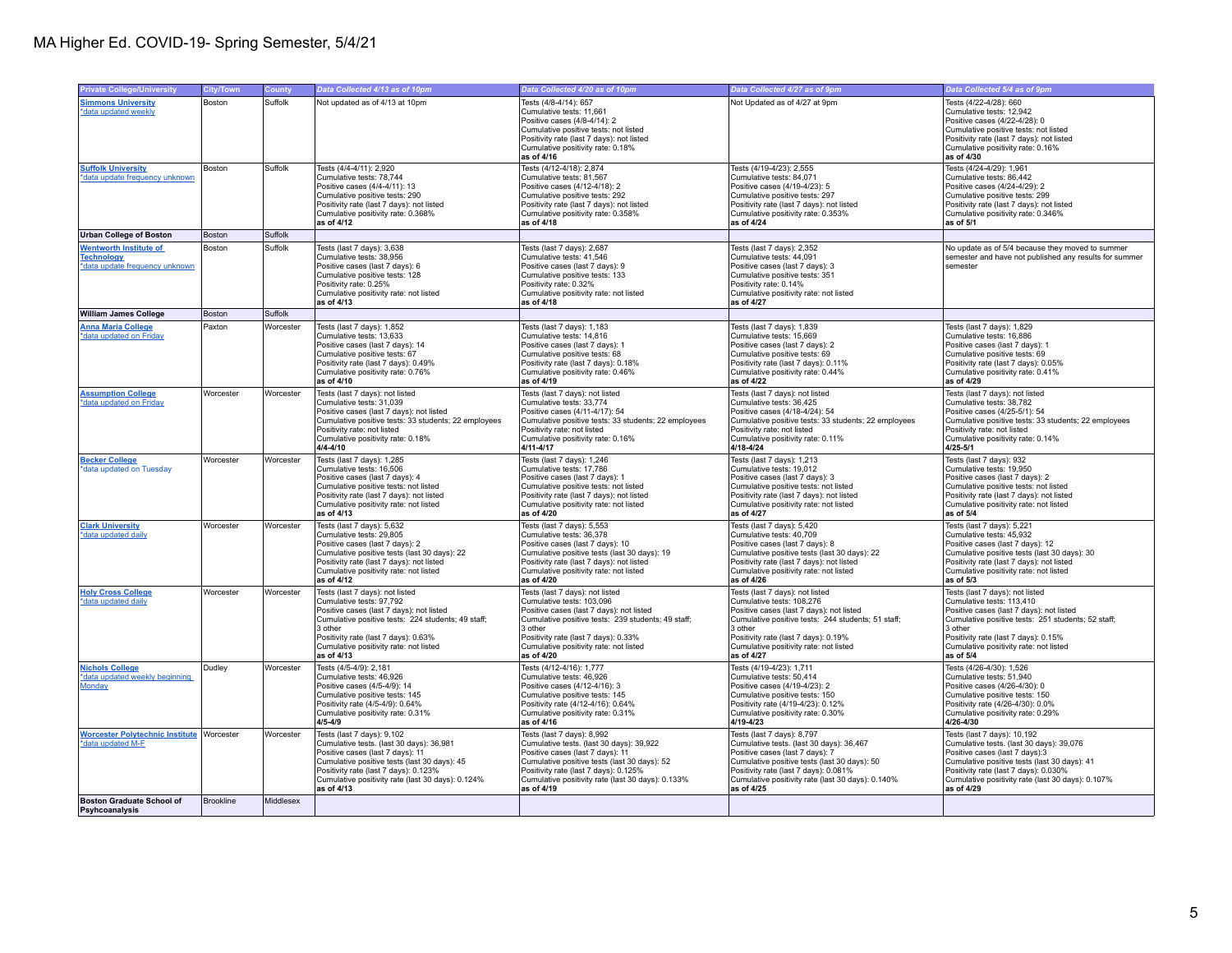| <b>Private College/University</b>                                     | <b>City/Town</b> |           | Data Collected 4/13 as of 10pm                                                            | Data Collected 4/20 as of 10pm                                                            | Data Collected 4/27 as of 9pm                                                             | Data Collected 5/4 as of 9pm                                                              |
|-----------------------------------------------------------------------|------------------|-----------|-------------------------------------------------------------------------------------------|-------------------------------------------------------------------------------------------|-------------------------------------------------------------------------------------------|-------------------------------------------------------------------------------------------|
|                                                                       |                  | County    |                                                                                           |                                                                                           |                                                                                           |                                                                                           |
| <b>Simmons University</b>                                             | Boston           | Suffolk   | Not updated as of 4/13 at 10pm                                                            | Tests (4/8-4/14): 657                                                                     | Not Updated as of 4/27 at 9pm                                                             | Tests (4/22-4/28): 660                                                                    |
| *data updated weekly                                                  |                  |           |                                                                                           | Cumulative tests: 11.661                                                                  |                                                                                           | Cumulative tests: 12.942                                                                  |
|                                                                       |                  |           |                                                                                           | Positive cases (4/8-4/14): 2<br>Cumulative positive tests: not listed                     |                                                                                           | Positive cases (4/22-4/28): 0<br>Cumulative positive tests: not listed                    |
|                                                                       |                  |           |                                                                                           | Positivity rate (last 7 days): not listed                                                 |                                                                                           | Positivity rate (last 7 days): not listed                                                 |
|                                                                       |                  |           |                                                                                           | Cumulative positivity rate: 0.18%                                                         |                                                                                           | Cumulative positivity rate: 0.16%                                                         |
|                                                                       |                  |           |                                                                                           | as of 4/16                                                                                |                                                                                           | as of 4/30                                                                                |
| <b>Suffolk University</b>                                             | Boston           | Suffolk   | Tests (4/4-4/11): 2,920                                                                   | Tests (4/12-4/18): 2,874                                                                  | Tests (4/19-4/23): 2,555                                                                  | Tests (4/24-4/29): 1,961                                                                  |
| *data update frequency unknown                                        |                  |           | Cumulative tests: 78,744                                                                  | Cumulative tests: 81,567                                                                  | Cumulative tests: 84.071                                                                  | Cumulative tests: 86.442                                                                  |
|                                                                       |                  |           | Positive cases (4/4-4/11): 13                                                             | Positive cases (4/12-4/18): 2                                                             | Positive cases (4/19-4/23): 5                                                             | Positive cases (4/24-4/29): 2                                                             |
|                                                                       |                  |           | Cumulative positive tests: 290                                                            | Cumulative positive tests: 292                                                            | Cumulative positive tests: 297                                                            | Cumulative positive tests: 299                                                            |
|                                                                       |                  |           | Positivity rate (last 7 days): not listed                                                 | Positivity rate (last 7 days); not listed                                                 | Positivity rate (last 7 days); not listed                                                 | Positivity rate (last 7 days); not listed                                                 |
|                                                                       |                  |           | Cumulative positivity rate: 0.368%                                                        | Cumulative positivity rate: 0.358%                                                        | Cumulative positivity rate: 0.353%                                                        | Cumulative positivity rate: 0.346%                                                        |
|                                                                       |                  |           | as of 4/12                                                                                | as of 4/18                                                                                | as of 4/24                                                                                | as of 5/1                                                                                 |
| <b>Urban College of Boston</b>                                        | Boston           | Suffolk   |                                                                                           |                                                                                           |                                                                                           |                                                                                           |
| <b>Wentworth Institute of</b>                                         | Boston           | Suffolk   | Tests (last 7 days): 3,638                                                                | Tests (last 7 days): 2,687                                                                | Tests (last 7 days): 2,352                                                                | No update as of 5/4 because they moved to summer                                          |
| <b>Technology</b>                                                     |                  |           | Cumulative tests: 38,956                                                                  | Cumulative tests: 41,546                                                                  | Cumulative tests: 44,091                                                                  | semester and have not published any results for summer                                    |
| *data update frequency unknown                                        |                  |           | Positive cases (last 7 days): 6                                                           | Positive cases (last 7 days): 9                                                           | Positive cases (last 7 days): 3                                                           | semester                                                                                  |
|                                                                       |                  |           | Cumulative positive tests: 128                                                            | Cumulative positive tests: 133                                                            | Cumulative positive tests: 351                                                            |                                                                                           |
|                                                                       |                  |           | Positivity rate: 0.25%                                                                    | Positivity rate: 0.32%                                                                    | Positivity rate: 0.14%                                                                    |                                                                                           |
|                                                                       |                  |           | Cumulative positivity rate: not listed                                                    | Cumulative positivity rate: not listed                                                    | Cumulative positivity rate: not listed                                                    |                                                                                           |
|                                                                       |                  |           | as of 4/13                                                                                | as of 4/18                                                                                | as of 4/27                                                                                |                                                                                           |
| <b>William James College</b>                                          | <b>Boston</b>    | Suffolk   |                                                                                           |                                                                                           |                                                                                           |                                                                                           |
| <b>Anna Maria College</b>                                             | Paxton           | Worcester | Tests (last 7 days): 1,852                                                                | Tests (last 7 days): 1,183                                                                | Tests (last 7 days): 1,839                                                                | Tests (last 7 days): 1,829                                                                |
| *data updated on Friday                                               |                  |           | Cumulative tests: 13,633                                                                  | Cumulative tests: 14,816                                                                  | Cumulative tests: 15.669                                                                  | Cumulative tests: 16.886                                                                  |
|                                                                       |                  |           | Positive cases (last 7 days): 14                                                          | Positive cases (last 7 days): 1                                                           | Positive cases (last 7 days): 2                                                           | Positive cases (last 7 days): 1                                                           |
|                                                                       |                  |           | Cumulative positive tests: 67                                                             | Cumulative positive tests: 68                                                             | Cumulative positive tests: 69                                                             | Cumulative positive tests: 69                                                             |
|                                                                       |                  |           | Positivity rate (last 7 days): 0.49%                                                      | Positivity rate (last 7 days): 0.18%                                                      | Positivity rate (last 7 days): 0.11%                                                      | Positivity rate (last 7 days): 0.05%                                                      |
|                                                                       |                  |           | Cumulative positivity rate: 0.76%<br>as of 4/10                                           | Cumulative positivity rate: 0.46%                                                         | Cumulative positivity rate: 0.44%                                                         | Cumulative positivity rate: 0.41%<br>as of 4/29                                           |
|                                                                       |                  |           |                                                                                           | as of 4/19                                                                                | as of 4/22                                                                                |                                                                                           |
| <b>Assumption College</b>                                             | Worcester        | Worcester | Tests (last 7 days): not listed                                                           | Tests (last 7 days): not listed                                                           | Tests (last 7 days): not listed                                                           | Tests (last 7 days): not listed                                                           |
| *data updated on Friday                                               |                  |           | Cumulative tests: 31.039<br>Positive cases (last 7 days): not listed                      | Cumulative tests: 33.774<br>Positive cases (4/11-4/17): 54                                | Cumulative tests: 36.425<br>Positive cases (4/18-4/24): 54                                | Cumulative tests: 38.782<br>Positive cases (4/25-5/1): 54                                 |
|                                                                       |                  |           | Cumulative positive tests: 33 students; 22 employees                                      | Cumulative positive tests: 33 students; 22 employees                                      | Cumulative positive tests: 33 students; 22 employees                                      | Cumulative positive tests: 33 students; 22 employees                                      |
|                                                                       |                  |           | Positivity rate: not listed                                                               | Positivity rate: not listed                                                               | Positivity rate: not listed                                                               | Positivity rate: not listed                                                               |
|                                                                       |                  |           | Cumulative positivity rate: 0.18%                                                         | Cumulative positivity rate: 0.16%                                                         | Cumulative positivity rate: 0.11%                                                         | Cumulative positivity rate: 0.14%                                                         |
|                                                                       |                  |           | $4/4 - 4/10$                                                                              | $4/11 - 4/17$                                                                             | 4/18-4/24                                                                                 | $4/25 - 5/1$                                                                              |
| <b>Becker College</b>                                                 | Worcester        | Worcester | Tests (last 7 days): 1,285                                                                | Tests (last 7 days): 1,246                                                                | Tests (last 7 days): 1,213                                                                | Tests (last 7 days): 932                                                                  |
| data updated on Tuesday                                               |                  |           | Cumulative tests: 16.506                                                                  | Cumulative tests: 17.786                                                                  | Cumulative tests: 19.012                                                                  | Cumulative tests: 19.950                                                                  |
|                                                                       |                  |           | Positive cases (last 7 days): 4                                                           | Positive cases (last 7 days): 1                                                           | Positive cases (last 7 days): 3                                                           | Positive cases (last 7 days): 2                                                           |
|                                                                       |                  |           | Cumulative positive tests: not listed                                                     | Cumulative positive tests: not listed                                                     | Cumulative positive tests: not listed                                                     | Cumulative positive tests: not listed                                                     |
|                                                                       |                  |           | Positivity rate (last 7 days): not listed                                                 | Positivity rate (last 7 days): not listed                                                 | Positivity rate (last 7 days): not listed                                                 | Positivity rate (last 7 days): not listed                                                 |
|                                                                       |                  |           | Cumulative positivity rate: not listed                                                    | Cumulative positivity rate: not listed                                                    | Cumulative positivity rate: not listed                                                    | Cumulative positivity rate: not listed                                                    |
|                                                                       |                  |           | as of 4/13                                                                                | as of 4/20                                                                                | as of 4/27                                                                                | as of 5/4                                                                                 |
| <b>Clark University</b>                                               | Worcester        | Worcester | Tests (last 7 days): 5,632                                                                | Tests (last 7 days): 5,553                                                                | Tests (last 7 days): 5,420                                                                | Tests (last 7 days): 5,221                                                                |
| data updated daily                                                    |                  |           | Cumulative tests: 29,805                                                                  | Cumulative tests: 36.378                                                                  | Cumulative tests: 40.709                                                                  | Cumulative tests: 45.932                                                                  |
|                                                                       |                  |           | Positive cases (last 7 days): 2                                                           | Positive cases (last 7 days): 10                                                          | Positive cases (last 7 days): 8                                                           | Positive cases (last 7 days): 12                                                          |
|                                                                       |                  |           | Cumulative positive tests (last 30 days): 22<br>Positivity rate (last 7 days): not listed | Cumulative positive tests (last 30 days): 19<br>Positivity rate (last 7 days): not listed | Cumulative positive tests (last 30 days): 22<br>Positivity rate (last 7 days): not listed | Cumulative positive tests (last 30 days): 30<br>Positivity rate (last 7 days): not listed |
|                                                                       |                  |           | Cumulative positivity rate: not listed                                                    | Cumulative positivity rate: not listed                                                    | Cumulative positivity rate: not listed                                                    | Cumulative positivity rate: not listed                                                    |
|                                                                       |                  |           | as of 4/12                                                                                | as of 4/20                                                                                | as of 4/26                                                                                | as of $5/3$                                                                               |
| <b>Holy Cross College</b>                                             | Worcester        | Worcester | Tests (last 7 days): not listed                                                           | Tests (last 7 days): not listed                                                           | Tests (last 7 days): not listed                                                           | Tests (last 7 days): not listed                                                           |
| *data updated daily                                                   |                  |           | Cumulative tests: 97.792                                                                  | Cumulative tests: 103.096                                                                 | Cumulative tests: 108.276                                                                 | Cumulative tests: 113.410                                                                 |
|                                                                       |                  |           | Positive cases (last 7 days): not listed                                                  | Positive cases (last 7 days): not listed                                                  | Positive cases (last 7 days): not listed                                                  | Positive cases (last 7 days): not listed                                                  |
|                                                                       |                  |           | Cumulative positive tests: 224 students; 49 staff;                                        | Cumulative positive tests: 239 students; 49 staff;                                        | Cumulative positive tests: 244 students; 51 staff;                                        | Cumulative positive tests: 251 students; 52 staff;                                        |
|                                                                       |                  |           | 3 other                                                                                   | 3 other                                                                                   | 3 other                                                                                   | 3 other                                                                                   |
|                                                                       |                  |           | Positivity rate (last 7 days): 0.63%                                                      | Positivity rate (last 7 days): 0.33%                                                      | Positivity rate (last 7 days): 0.19%                                                      | Positivity rate (last 7 days): 0.15%                                                      |
|                                                                       |                  |           | Cumulative positivity rate: not listed                                                    | Cumulative positivity rate: not listed                                                    | Cumulative positivity rate: not listed                                                    | Cumulative positivity rate: not listed                                                    |
|                                                                       |                  |           | as of 4/13                                                                                | as of 4/20                                                                                | as of 4/27                                                                                | as of $5/4$                                                                               |
| <b>Nichols College</b>                                                | Dudley           | Worcester | Tests (4/5-4/9): 2.181                                                                    | Tests (4/12-4/16): 1.777                                                                  | Tests (4/19-4/23): 1.711                                                                  | Tests (4/26-4/30): 1.526                                                                  |
| *data updated weekly beginning                                        |                  |           | Cumulative tests: 46,926                                                                  | Cumulative tests: 46,926                                                                  | Cumulative tests: 50,414                                                                  | Cumulative tests: 51,940                                                                  |
| Monday                                                                |                  |           | Positive cases (4/5-4/9): 14                                                              | Positive cases (4/12-4/16): 3                                                             | Positive cases (4/19-4/23): 2                                                             | Positive cases (4/26-4/30): 0                                                             |
|                                                                       |                  |           | Cumulative positive tests: 145                                                            | Cumulative positive tests: 145                                                            | Cumulative positive tests: 150                                                            | Cumulative positive tests: 150                                                            |
|                                                                       |                  |           | Positivity rate (4/5-4/9): 0.64%<br>Cumulative positivity rate: 0.31%                     | Positivity rate (4/12-4/16): 0.64%<br>Cumulative positivity rate: 0.31%                   | Positivity rate (4/19-4/23): 0.12%<br>Cumulative positivity rate: 0.30%                   | Positivity rate (4/26-4/30): 0.0%<br>Cumulative positivity rate: 0.29%                    |
|                                                                       |                  |           | $4/5 - 4/9$                                                                               | as of 4/16                                                                                | 4/19-4/23                                                                                 | 4/26-4/30                                                                                 |
|                                                                       |                  |           |                                                                                           |                                                                                           |                                                                                           |                                                                                           |
| <b>Worcester Polytechnic Institute Worcester</b><br>*data updated M-F |                  | Worcester | Tests (last 7 days): 9,102<br>Cumulative tests. (last 30 days): 36,981                    | Tests (last 7 days): 8,992<br>Cumulative tests. (last 30 days): 39,922                    | Tests (last 7 days): 8,797<br>Cumulative tests. (last 30 days): 36,467                    | Tests (last 7 days): 10,192<br>Cumulative tests. (last 30 days): 39,076                   |
|                                                                       |                  |           | Positive cases (last 7 days): 11                                                          | Positive cases (last 7 days): 11                                                          | Positive cases (last 7 days): 7                                                           | Positive cases (last 7 days):3                                                            |
|                                                                       |                  |           | Cumulative positive tests (last 30 days): 45                                              | Cumulative positive tests (last 30 days): 52                                              | Cumulative positive tests (last 30 days): 50                                              | Cumulative positive tests (last 30 days): 41                                              |
|                                                                       |                  |           | Positivity rate (last 7 days): 0.123%                                                     | Positivity rate (last 7 days): 0.125%                                                     | Positivity rate (last 7 days): 0.081%                                                     | Positivity rate (last 7 days): 0.030%                                                     |
|                                                                       |                  |           | Cumulative positivity rate (last 30 days): 0.124%                                         | Cumulative positivity rate (last 30 days): 0.133%                                         | Cumulative positivity rate (last 30 days): 0.140%                                         | Cumulative positivity rate (last 30 days): 0.107%                                         |
|                                                                       |                  |           | as of 4/13                                                                                | as of 4/19                                                                                | as of 4/25                                                                                | as of 4/29                                                                                |
| <b>Boston Graduate School of</b><br>Psyhcoanalysis                    | <b>Brookline</b> | Middlesex |                                                                                           |                                                                                           |                                                                                           |                                                                                           |
|                                                                       |                  |           |                                                                                           |                                                                                           |                                                                                           |                                                                                           |